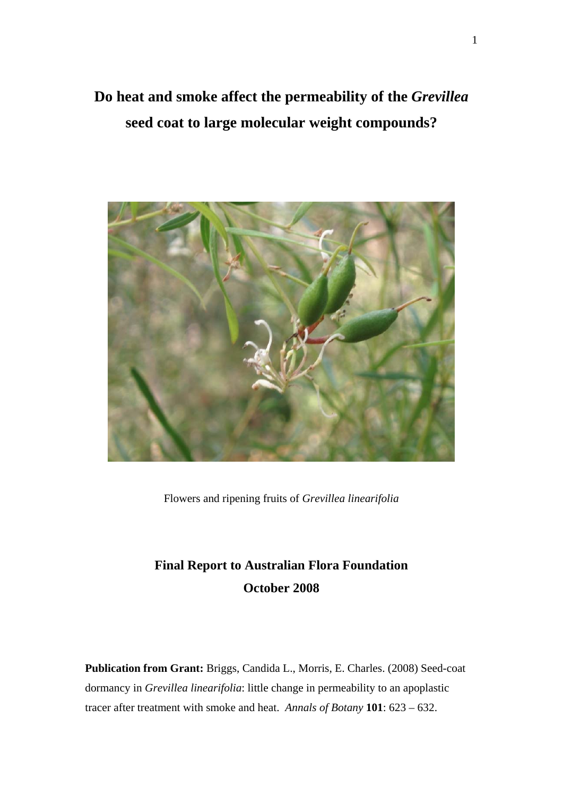# **Do heat and smoke affect the permeability of the** *Grevillea* **seed coat to large molecular weight compounds?**



Flowers and ripening fruits of *Grevillea linearifolia*

# **Final Report to Australian Flora Foundation October 2008**

**Publication from Grant:** Briggs, Candida L., Morris, E. Charles. (2008) Seed-coat dormancy in *Grevillea linearifolia*: little change in permeability to an apoplastic tracer after treatment with smoke and heat. *Annals of Botany* **101**: 623 – 632.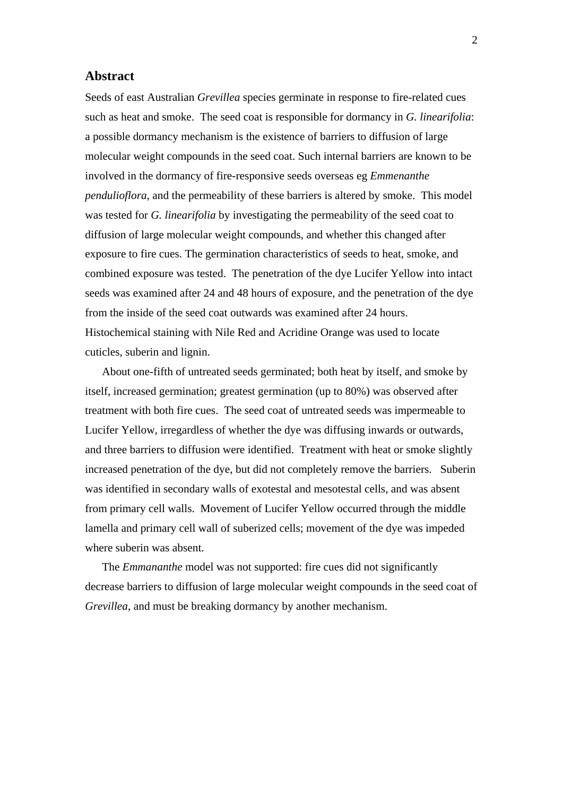# **Abstract**

Seeds of east Australian *Grevillea* species germinate in response to fire-related cues such as heat and smoke. The seed coat is responsible for dormancy in *G. linearifolia*: a possible dormancy mechanism is the existence of barriers to diffusion of large molecular weight compounds in the seed coat. Such internal barriers are known to be involved in the dormancy of fire-responsive seeds overseas eg *Emmenanthe pendulioflora*, and the permeability of these barriers is altered by smoke. This model was tested for *G. linearifolia* by investigating the permeability of the seed coat to diffusion of large molecular weight compounds, and whether this changed after exposure to fire cues. The germination characteristics of seeds to heat, smoke, and combined exposure was tested. The penetration of the dye Lucifer Yellow into intact seeds was examined after 24 and 48 hours of exposure, and the penetration of the dye from the inside of the seed coat outwards was examined after 24 hours. Histochemical staining with Nile Red and Acridine Orange was used to locate cuticles, suberin and lignin.

 About one-fifth of untreated seeds germinated; both heat by itself, and smoke by itself, increased germination; greatest germination (up to 80%) was observed after treatment with both fire cues. The seed coat of untreated seeds was impermeable to Lucifer Yellow, irregardless of whether the dye was diffusing inwards or outwards, and three barriers to diffusion were identified. Treatment with heat or smoke slightly increased penetration of the dye, but did not completely remove the barriers. Suberin was identified in secondary walls of exotestal and mesotestal cells, and was absent from primary cell walls. Movement of Lucifer Yellow occurred through the middle lamella and primary cell wall of suberized cells; movement of the dye was impeded where suberin was absent.

The *Emmananthe* model was not supported: fire cues did not significantly decrease barriers to diffusion of large molecular weight compounds in the seed coat of *Grevillea*, and must be breaking dormancy by another mechanism.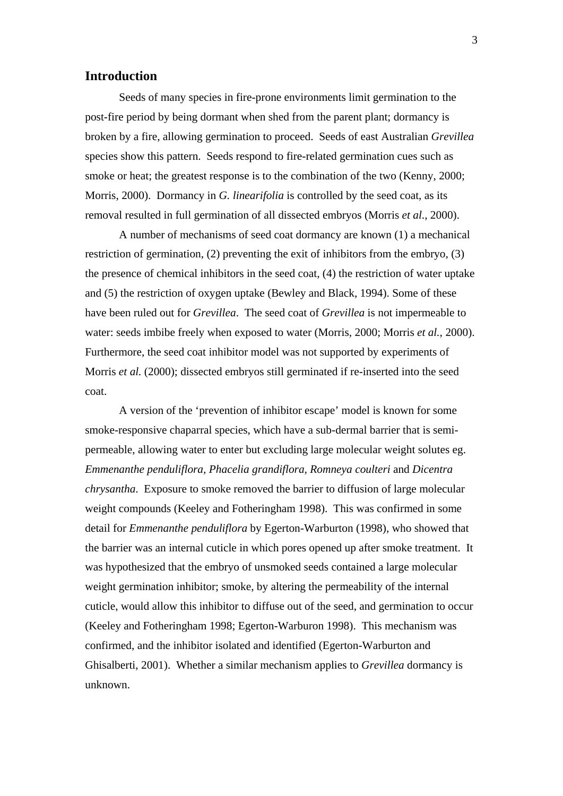# **Introduction**

Seeds of many species in fire-prone environments limit germination to the post-fire period by being dormant when shed from the parent plant; dormancy is broken by a fire, allowing germination to proceed. Seeds of east Australian *Grevillea* species show this pattern. Seeds respond to fire-related germination cues such as smoke or heat; the greatest response is to the combination of the two (Kenny, 2000; Morris, 2000). Dormancy in *G. linearifolia* is controlled by the seed coat, as its removal resulted in full germination of all dissected embryos (Morris *et al*., 2000).

 A number of mechanisms of seed coat dormancy are known (1) a mechanical restriction of germination, (2) preventing the exit of inhibitors from the embryo, (3) the presence of chemical inhibitors in the seed coat, (4) the restriction of water uptake and (5) the restriction of oxygen uptake (Bewley and Black, 1994). Some of these have been ruled out for *Grevillea*. The seed coat of *Grevillea* is not impermeable to water: seeds imbibe freely when exposed to water (Morris, 2000; Morris *et al.,* 2000). Furthermore, the seed coat inhibitor model was not supported by experiments of Morris *et al.* (2000); dissected embryos still germinated if re-inserted into the seed coat.

A version of the 'prevention of inhibitor escape' model is known for some smoke-responsive chaparral species, which have a sub-dermal barrier that is semipermeable, allowing water to enter but excluding large molecular weight solutes eg. *Emmenanthe penduliflora, Phacelia grandiflora, Romneya coulteri* and *Dicentra chrysantha*. Exposure to smoke removed the barrier to diffusion of large molecular weight compounds (Keeley and Fotheringham 1998). This was confirmed in some detail for *Emmenanthe penduliflora* by Egerton-Warburton (1998), who showed that the barrier was an internal cuticle in which pores opened up after smoke treatment. It was hypothesized that the embryo of unsmoked seeds contained a large molecular weight germination inhibitor; smoke, by altering the permeability of the internal cuticle, would allow this inhibitor to diffuse out of the seed, and germination to occur (Keeley and Fotheringham 1998; Egerton-Warburon 1998). This mechanism was confirmed, and the inhibitor isolated and identified (Egerton-Warburton and Ghisalberti, 2001). Whether a similar mechanism applies to *Grevillea* dormancy is unknown.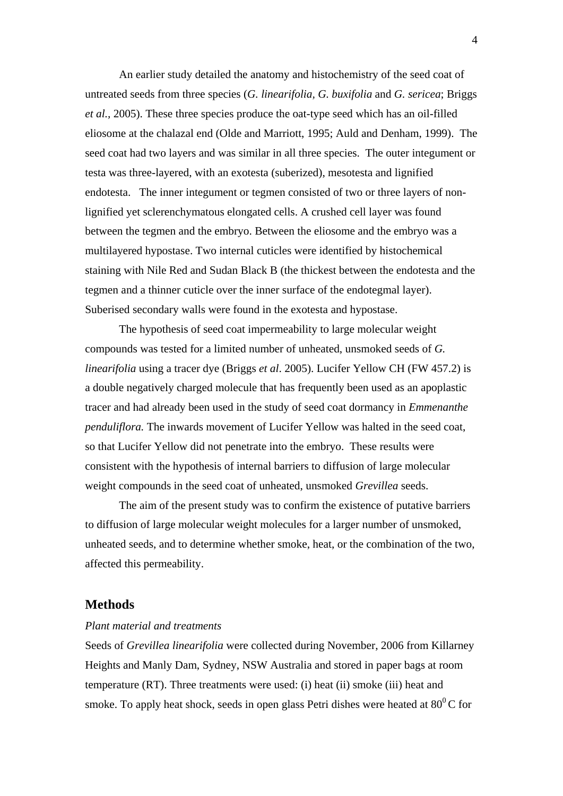An earlier study detailed the anatomy and histochemistry of the seed coat of untreated seeds from three species (*G. linearifolia, G. buxifolia* and *G. sericea*; Briggs *et al.,* 2005). These three species produce the oat-type seed which has an oil-filled eliosome at the chalazal end (Olde and Marriott, 1995; Auld and Denham, 1999). The seed coat had two layers and was similar in all three species. The outer integument or testa was three-layered, with an exotesta (suberized), mesotesta and lignified endotesta. The inner integument or tegmen consisted of two or three layers of nonlignified yet sclerenchymatous elongated cells. A crushed cell layer was found between the tegmen and the embryo. Between the eliosome and the embryo was a multilayered hypostase. Two internal cuticles were identified by histochemical staining with Nile Red and Sudan Black B (the thickest between the endotesta and the tegmen and a thinner cuticle over the inner surface of the endotegmal layer). Suberised secondary walls were found in the exotesta and hypostase.

The hypothesis of seed coat impermeability to large molecular weight compounds was tested for a limited number of unheated, unsmoked seeds of *G. linearifolia* using a tracer dye (Briggs *et al*. 2005). Lucifer Yellow CH (FW 457.2) is a double negatively charged molecule that has frequently been used as an apoplastic tracer and had already been used in the study of seed coat dormancy in *Emmenanthe penduliflora.* The inwards movement of Lucifer Yellow was halted in the seed coat, so that Lucifer Yellow did not penetrate into the embryo. These results were consistent with the hypothesis of internal barriers to diffusion of large molecular weight compounds in the seed coat of unheated, unsmoked *Grevillea* seeds.

The aim of the present study was to confirm the existence of putative barriers to diffusion of large molecular weight molecules for a larger number of unsmoked, unheated seeds, and to determine whether smoke, heat, or the combination of the two, affected this permeability.

# **Methods**

# *Plant material and treatments*

Seeds of *Grevillea linearifolia* were collected during November, 2006 from Killarney Heights and Manly Dam, Sydney, NSW Australia and stored in paper bags at room temperature (RT). Three treatments were used: (i) heat (ii) smoke (iii) heat and smoke. To apply heat shock, seeds in open glass Petri dishes were heated at  $80^{\circ}$ C for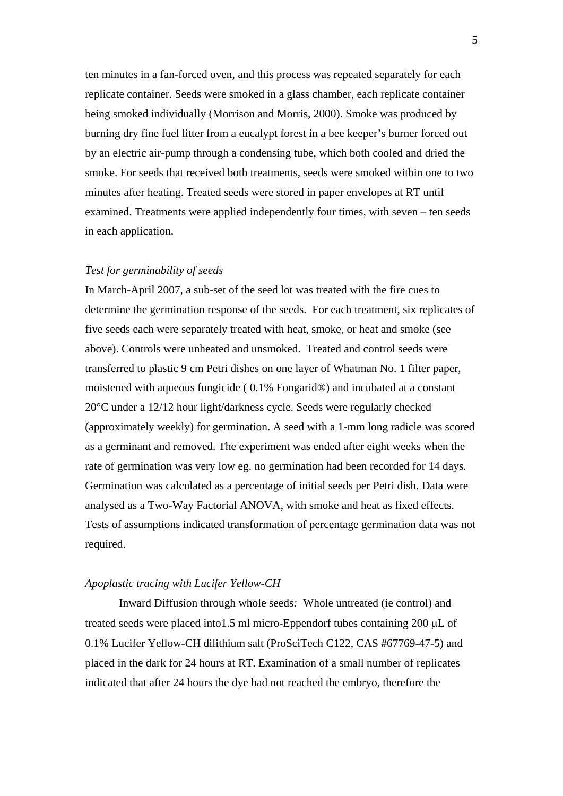ten minutes in a fan-forced oven, and this process was repeated separately for each replicate container. Seeds were smoked in a glass chamber, each replicate container being smoked individually (Morrison and Morris, 2000). Smoke was produced by burning dry fine fuel litter from a eucalypt forest in a bee keeper's burner forced out by an electric air-pump through a condensing tube, which both cooled and dried the smoke. For seeds that received both treatments, seeds were smoked within one to two minutes after heating. Treated seeds were stored in paper envelopes at RT until examined. Treatments were applied independently four times, with seven – ten seeds in each application.

# *Test for germinability of seeds*

In March-April 2007, a sub-set of the seed lot was treated with the fire cues to determine the germination response of the seeds. For each treatment, six replicates of five seeds each were separately treated with heat, smoke, or heat and smoke (see above). Controls were unheated and unsmoked. Treated and control seeds were transferred to plastic 9 cm Petri dishes on one layer of Whatman No. 1 filter paper, moistened with aqueous fungicide ( 0.1% Fongarid®) and incubated at a constant 20°C under a 12/12 hour light/darkness cycle. Seeds were regularly checked (approximately weekly) for germination. A seed with a 1-mm long radicle was scored as a germinant and removed. The experiment was ended after eight weeks when the rate of germination was very low eg. no germination had been recorded for 14 days*.* Germination was calculated as a percentage of initial seeds per Petri dish. Data were analysed as a Two-Way Factorial ANOVA, with smoke and heat as fixed effects. Tests of assumptions indicated transformation of percentage germination data was not required.

# *Apoplastic tracing with Lucifer Yellow-CH*

Inward Diffusion through whole seeds*:* Whole untreated (ie control) and treated seeds were placed into1.5 ml micro-Eppendorf tubes containing 200 μL of 0.1% Lucifer Yellow-CH dilithium salt (ProSciTech C122, CAS #67769-47-5) and placed in the dark for 24 hours at RT. Examination of a small number of replicates indicated that after 24 hours the dye had not reached the embryo, therefore the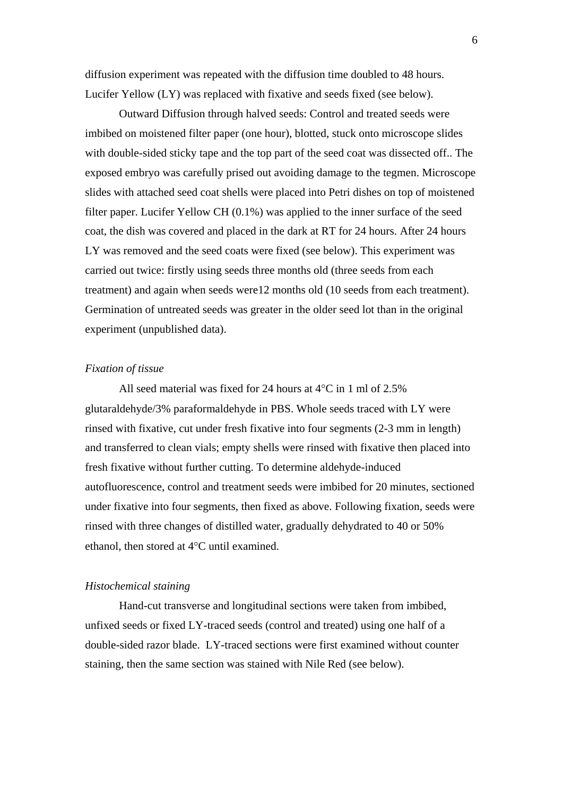diffusion experiment was repeated with the diffusion time doubled to 48 hours. Lucifer Yellow (LY) was replaced with fixative and seeds fixed (see below).

 Outward Diffusion through halved seeds: Control and treated seeds were imbibed on moistened filter paper (one hour), blotted, stuck onto microscope slides with double-sided sticky tape and the top part of the seed coat was dissected off.. The exposed embryo was carefully prised out avoiding damage to the tegmen. Microscope slides with attached seed coat shells were placed into Petri dishes on top of moistened filter paper. Lucifer Yellow CH (0.1%) was applied to the inner surface of the seed coat, the dish was covered and placed in the dark at RT for 24 hours. After 24 hours LY was removed and the seed coats were fixed (see below). This experiment was carried out twice: firstly using seeds three months old (three seeds from each treatment) and again when seeds were12 months old (10 seeds from each treatment). Germination of untreated seeds was greater in the older seed lot than in the original experiment (unpublished data).

## *Fixation of tissue*

All seed material was fixed for 24 hours at 4°C in 1 ml of 2.5% glutaraldehyde/3% paraformaldehyde in PBS. Whole seeds traced with LY were rinsed with fixative, cut under fresh fixative into four segments (2-3 mm in length) and transferred to clean vials; empty shells were rinsed with fixative then placed into fresh fixative without further cutting. To determine aldehyde-induced autofluorescence, control and treatment seeds were imbibed for 20 minutes, sectioned under fixative into four segments, then fixed as above. Following fixation, seeds were rinsed with three changes of distilled water, gradually dehydrated to 40 or 50% ethanol, then stored at 4°C until examined.

# *Histochemical staining*

Hand-cut transverse and longitudinal sections were taken from imbibed, unfixed seeds or fixed LY-traced seeds (control and treated) using one half of a double-sided razor blade. LY-traced sections were first examined without counter staining, then the same section was stained with Nile Red (see below).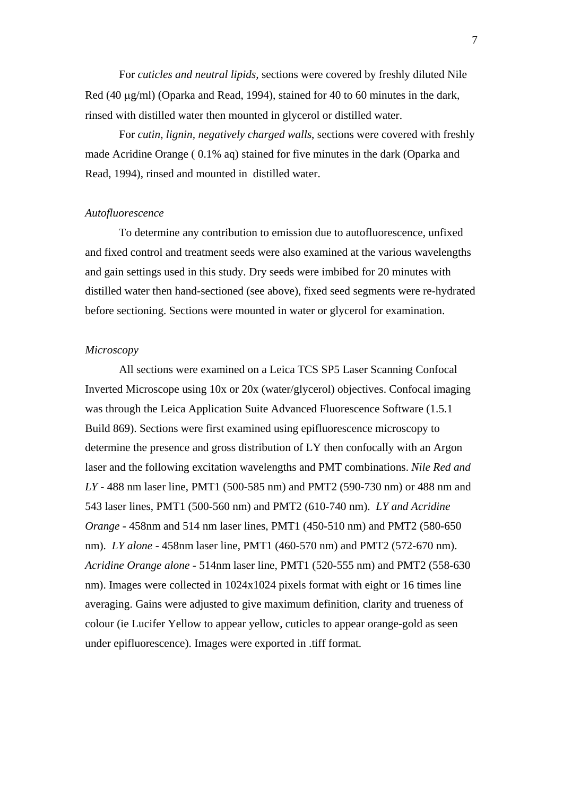For *cuticles and neutral lipids,* sections were covered by freshly diluted Nile Red (40 μg/ml) (Oparka and Read, 1994), stained for 40 to 60 minutes in the dark, rinsed with distilled water then mounted in glycerol or distilled water.

For *cutin, lignin, negatively charged walls*, sections were covered with freshly made Acridine Orange ( 0.1% aq) stained for five minutes in the dark (Oparka and Read, 1994), rinsed and mounted in distilled water.

# *Autofluorescence*

To determine any contribution to emission due to autofluorescence, unfixed and fixed control and treatment seeds were also examined at the various wavelengths and gain settings used in this study. Dry seeds were imbibed for 20 minutes with distilled water then hand-sectioned (see above), fixed seed segments were re-hydrated before sectioning. Sections were mounted in water or glycerol for examination.

## *Microscopy*

All sections were examined on a Leica TCS SP5 Laser Scanning Confocal Inverted Microscope using 10x or 20x (water/glycerol) objectives. Confocal imaging was through the Leica Application Suite Advanced Fluorescence Software (1.5.1 Build 869). Sections were first examined using epifluorescence microscopy to determine the presence and gross distribution of LY then confocally with an Argon laser and the following excitation wavelengths and PMT combinations. *Nile Red and LY* - 488 nm laser line, PMT1 (500-585 nm) and PMT2 (590-730 nm) or 488 nm and 543 laser lines, PMT1 (500-560 nm) and PMT2 (610-740 nm). *LY and Acridine Orange -* 458nm and 514 nm laser lines, PMT1 (450-510 nm) and PMT2 (580-650 nm). *LY alone* - 458nm laser line, PMT1 (460-570 nm) and PMT2 (572-670 nm). *Acridine Orange alone* - 514nm laser line, PMT1 (520-555 nm) and PMT2 (558-630 nm). Images were collected in 1024x1024 pixels format with eight or 16 times line averaging. Gains were adjusted to give maximum definition, clarity and trueness of colour (ie Lucifer Yellow to appear yellow, cuticles to appear orange-gold as seen under epifluorescence). Images were exported in .tiff format.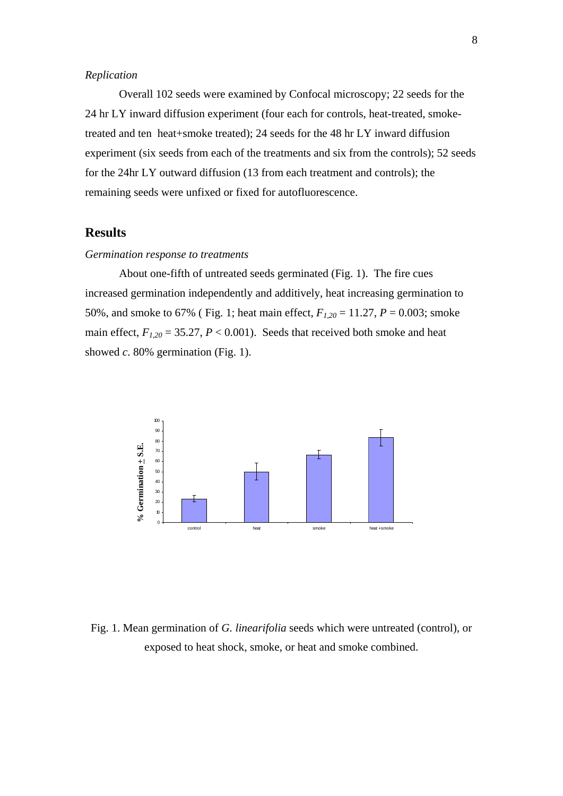## *Replication*

Overall 102 seeds were examined by Confocal microscopy; 22 seeds for the 24 hr LY inward diffusion experiment (four each for controls, heat-treated, smoketreated and ten heat+smoke treated); 24 seeds for the 48 hr LY inward diffusion experiment (six seeds from each of the treatments and six from the controls); 52 seeds for the 24hr LY outward diffusion (13 from each treatment and controls); the remaining seeds were unfixed or fixed for autofluorescence.

# **Results**

# *Germination response to treatments*

About one-fifth of untreated seeds germinated (Fig. 1). The fire cues increased germination independently and additively, heat increasing germination to 50%, and smoke to 67% ( Fig. 1; heat main effect,  $F_{1,20} = 11.27$ ,  $P = 0.003$ ; smoke main effect,  $F_{1,20} = 35.27$ ,  $P < 0.001$ ). Seeds that received both smoke and heat showed *c*. 80% germination (Fig. 1).



Fig. 1. Mean germination of *G. linearifolia* seeds which were untreated (control), or exposed to heat shock, smoke, or heat and smoke combined.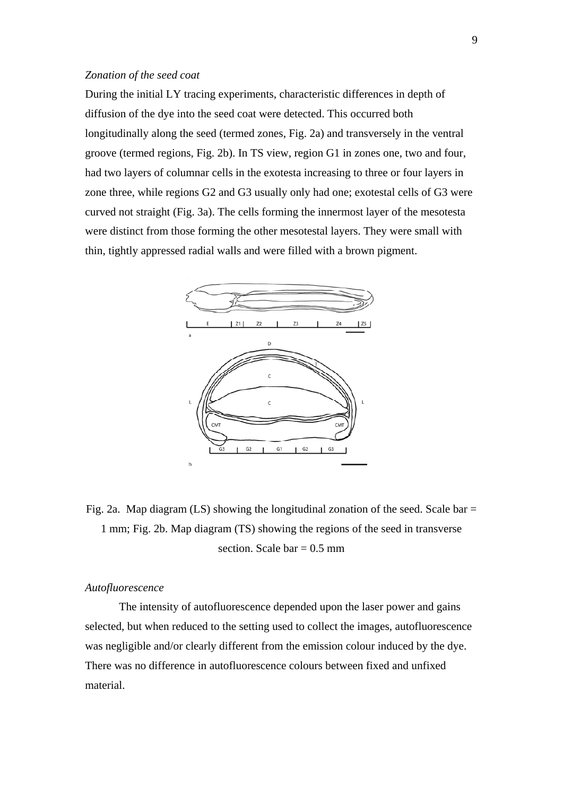# *Zonation of the seed coat*

During the initial LY tracing experiments, characteristic differences in depth of diffusion of the dye into the seed coat were detected. This occurred both longitudinally along the seed (termed zones, Fig. 2a) and transversely in the ventral groove (termed regions, Fig. 2b). In TS view, region G1 in zones one, two and four, had two layers of columnar cells in the exotesta increasing to three or four layers in zone three, while regions G2 and G3 usually only had one; exotestal cells of G3 were curved not straight (Fig. 3a). The cells forming the innermost layer of the mesotesta were distinct from those forming the other mesotestal layers. They were small with thin, tightly appressed radial walls and were filled with a brown pigment.



Fig. 2a. Map diagram  $(LS)$  showing the longitudinal zonation of the seed. Scale bar = 1 mm; Fig. 2b. Map diagram (TS) showing the regions of the seed in transverse section. Scale bar  $= 0.5$  mm

## *Autofluorescence*

The intensity of autofluorescence depended upon the laser power and gains selected, but when reduced to the setting used to collect the images, autofluorescence was negligible and/or clearly different from the emission colour induced by the dye. There was no difference in autofluorescence colours between fixed and unfixed material.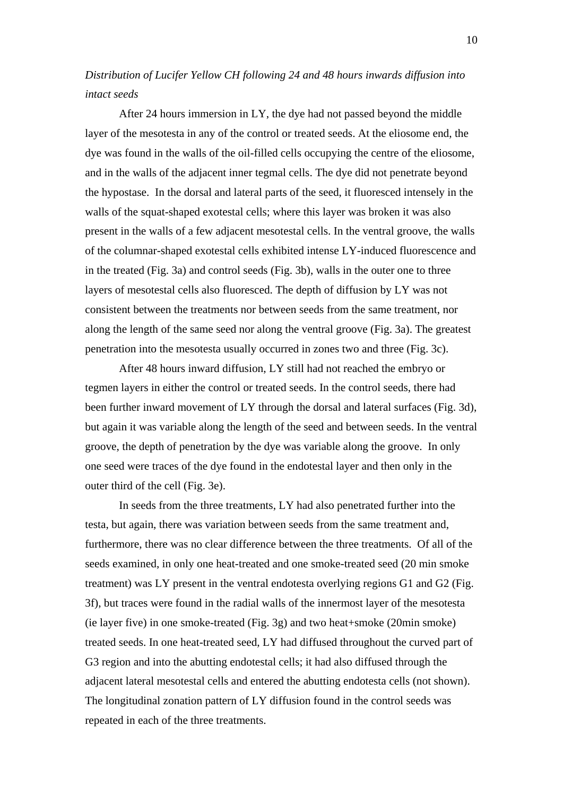# *Distribution of Lucifer Yellow CH following 24 and 48 hours inwards diffusion into intact seeds*

After 24 hours immersion in LY, the dye had not passed beyond the middle layer of the mesotesta in any of the control or treated seeds. At the eliosome end, the dye was found in the walls of the oil-filled cells occupying the centre of the eliosome, and in the walls of the adjacent inner tegmal cells. The dye did not penetrate beyond the hypostase. In the dorsal and lateral parts of the seed, it fluoresced intensely in the walls of the squat-shaped exotestal cells; where this layer was broken it was also present in the walls of a few adjacent mesotestal cells. In the ventral groove, the walls of the columnar-shaped exotestal cells exhibited intense LY-induced fluorescence and in the treated (Fig. 3a) and control seeds (Fig. 3b), walls in the outer one to three layers of mesotestal cells also fluoresced. The depth of diffusion by LY was not consistent between the treatments nor between seeds from the same treatment, nor along the length of the same seed nor along the ventral groove (Fig. 3a). The greatest penetration into the mesotesta usually occurred in zones two and three (Fig. 3c).

After 48 hours inward diffusion, LY still had not reached the embryo or tegmen layers in either the control or treated seeds. In the control seeds, there had been further inward movement of LY through the dorsal and lateral surfaces (Fig. 3d), but again it was variable along the length of the seed and between seeds. In the ventral groove, the depth of penetration by the dye was variable along the groove. In only one seed were traces of the dye found in the endotestal layer and then only in the outer third of the cell (Fig. 3e).

 In seeds from the three treatments, LY had also penetrated further into the testa, but again, there was variation between seeds from the same treatment and, furthermore, there was no clear difference between the three treatments. Of all of the seeds examined, in only one heat-treated and one smoke-treated seed (20 min smoke treatment) was LY present in the ventral endotesta overlying regions G1 and G2 (Fig. 3f), but traces were found in the radial walls of the innermost layer of the mesotesta (ie layer five) in one smoke-treated (Fig. 3g) and two heat+smoke (20min smoke) treated seeds. In one heat-treated seed, LY had diffused throughout the curved part of G3 region and into the abutting endotestal cells; it had also diffused through the adjacent lateral mesotestal cells and entered the abutting endotesta cells (not shown). The longitudinal zonation pattern of LY diffusion found in the control seeds was repeated in each of the three treatments.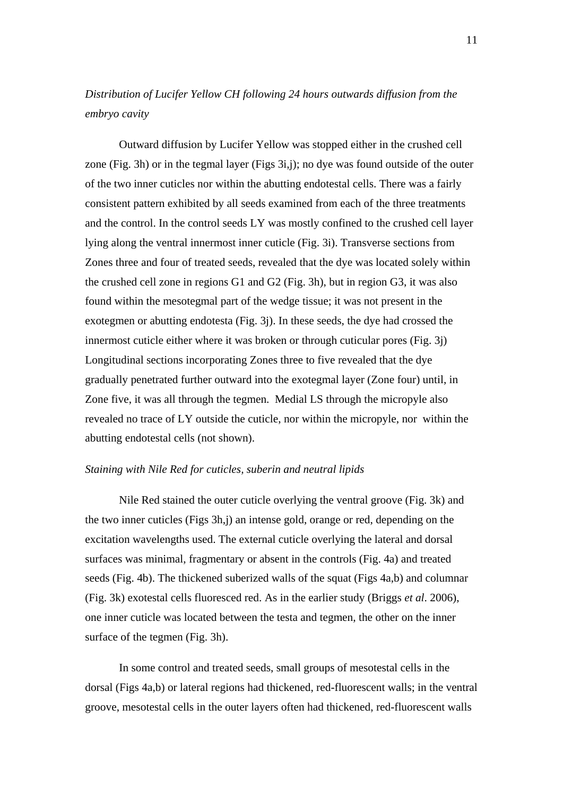# *Distribution of Lucifer Yellow CH following 24 hours outwards diffusion from the embryo cavity*

Outward diffusion by Lucifer Yellow was stopped either in the crushed cell zone (Fig. 3h) or in the tegmal layer (Figs 3i,j); no dye was found outside of the outer of the two inner cuticles nor within the abutting endotestal cells. There was a fairly consistent pattern exhibited by all seeds examined from each of the three treatments and the control. In the control seeds LY was mostly confined to the crushed cell layer lying along the ventral innermost inner cuticle (Fig. 3i). Transverse sections from Zones three and four of treated seeds, revealed that the dye was located solely within the crushed cell zone in regions G1 and G2 (Fig. 3h), but in region G3, it was also found within the mesotegmal part of the wedge tissue; it was not present in the exotegmen or abutting endotesta (Fig. 3j). In these seeds, the dye had crossed the innermost cuticle either where it was broken or through cuticular pores (Fig. 3j) Longitudinal sections incorporating Zones three to five revealed that the dye gradually penetrated further outward into the exotegmal layer (Zone four) until, in Zone five, it was all through the tegmen. Medial LS through the micropyle also revealed no trace of LY outside the cuticle, nor within the micropyle, nor within the abutting endotestal cells (not shown).

#### *Staining with Nile Red for cuticles, suberin and neutral lipids*

Nile Red stained the outer cuticle overlying the ventral groove (Fig. 3k) and the two inner cuticles (Figs 3h,j) an intense gold, orange or red, depending on the excitation wavelengths used. The external cuticle overlying the lateral and dorsal surfaces was minimal, fragmentary or absent in the controls (Fig. 4a) and treated seeds (Fig. 4b). The thickened suberized walls of the squat (Figs 4a,b) and columnar (Fig. 3k) exotestal cells fluoresced red. As in the earlier study (Briggs *et al*. 2006), one inner cuticle was located between the testa and tegmen, the other on the inner surface of the tegmen (Fig. 3h).

 In some control and treated seeds, small groups of mesotestal cells in the dorsal (Figs 4a,b) or lateral regions had thickened, red-fluorescent walls; in the ventral groove, mesotestal cells in the outer layers often had thickened, red-fluorescent walls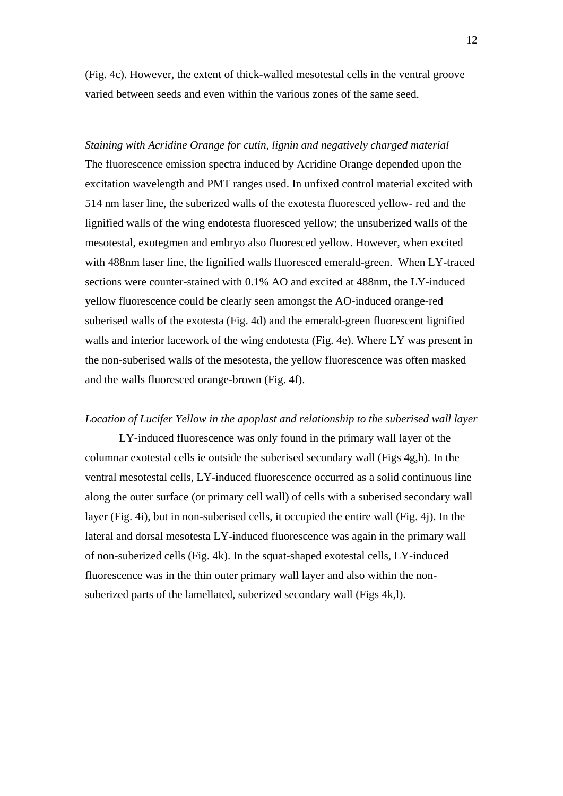(Fig. 4c). However, the extent of thick-walled mesotestal cells in the ventral groove varied between seeds and even within the various zones of the same seed.

*Staining with Acridine Orange for cutin, lignin and negatively charged material*  The fluorescence emission spectra induced by Acridine Orange depended upon the excitation wavelength and PMT ranges used. In unfixed control material excited with 514 nm laser line, the suberized walls of the exotesta fluoresced yellow- red and the lignified walls of the wing endotesta fluoresced yellow; the unsuberized walls of the mesotestal, exotegmen and embryo also fluoresced yellow. However, when excited with 488nm laser line, the lignified walls fluoresced emerald-green. When LY-traced sections were counter-stained with 0.1% AO and excited at 488nm, the LY-induced yellow fluorescence could be clearly seen amongst the AO-induced orange-red suberised walls of the exotesta (Fig. 4d) and the emerald-green fluorescent lignified walls and interior lacework of the wing endotesta (Fig. 4e). Where LY was present in the non-suberised walls of the mesotesta, the yellow fluorescence was often masked and the walls fluoresced orange-brown (Fig. 4f).

#### *Location of Lucifer Yellow in the apoplast and relationship to the suberised wall layer*

LY-induced fluorescence was only found in the primary wall layer of the columnar exotestal cells ie outside the suberised secondary wall (Figs 4g,h). In the ventral mesotestal cells, LY-induced fluorescence occurred as a solid continuous line along the outer surface (or primary cell wall) of cells with a suberised secondary wall layer (Fig. 4i), but in non-suberised cells, it occupied the entire wall (Fig. 4j). In the lateral and dorsal mesotesta LY-induced fluorescence was again in the primary wall of non-suberized cells (Fig. 4k). In the squat-shaped exotestal cells, LY-induced fluorescence was in the thin outer primary wall layer and also within the nonsuberized parts of the lamellated, suberized secondary wall (Figs 4k,l).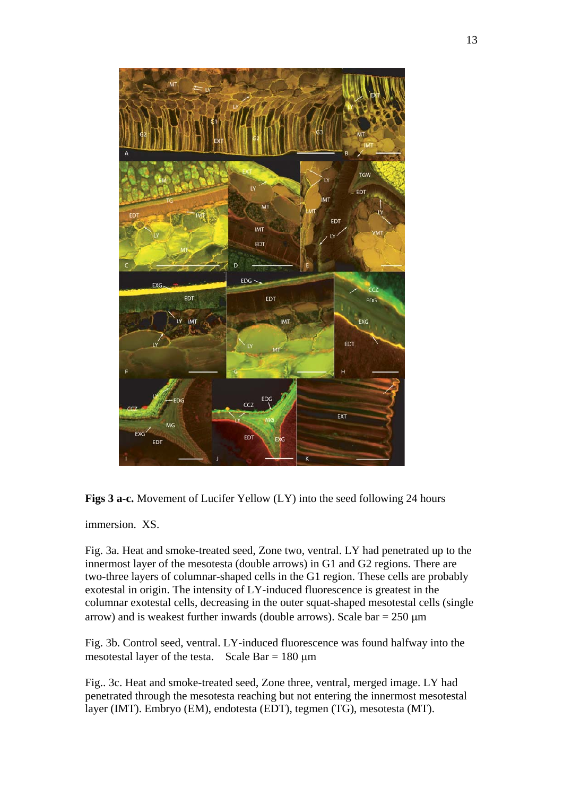



immersion. XS.

Fig. 3a. Heat and smoke-treated seed, Zone two, ventral. LY had penetrated up to the innermost layer of the mesotesta (double arrows) in G1 and G2 regions. There are two-three layers of columnar-shaped cells in the G1 region. These cells are probably exotestal in origin. The intensity of LY-induced fluorescence is greatest in the columnar exotestal cells, decreasing in the outer squat-shaped mesotestal cells (single arrow) and is weakest further inwards (double arrows). Scale bar =  $250 \mu m$ 

Fig. 3b. Control seed, ventral. LY-induced fluorescence was found halfway into the mesotestal layer of the testa. Scale Bar  $= 180 \text{ µm}$ 

Fig.. 3c. Heat and smoke-treated seed, Zone three, ventral, merged image. LY had penetrated through the mesotesta reaching but not entering the innermost mesotestal layer (IMT). Embryo (EM), endotesta (EDT), tegmen (TG), mesotesta (MT).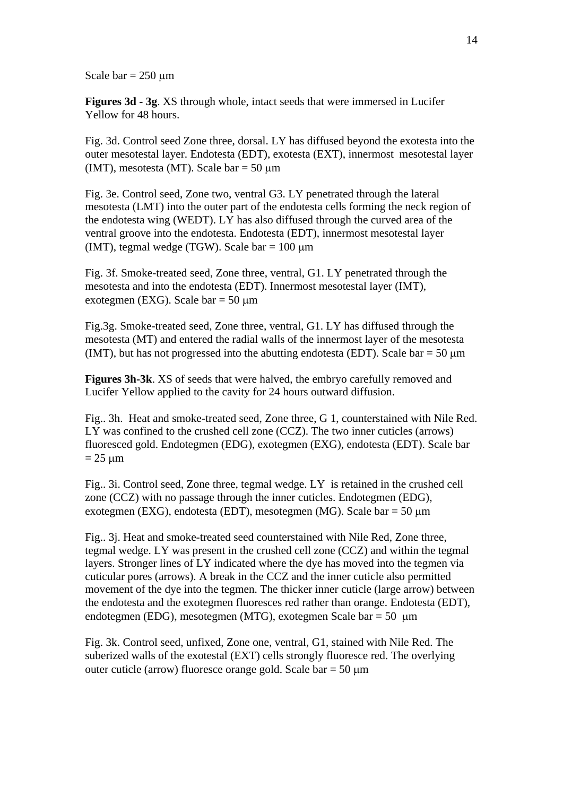Scale bar  $= 250 \mu m$ 

**Figures 3d - 3g**. XS through whole, intact seeds that were immersed in Lucifer Yellow for 48 hours.

Fig. 3d. Control seed Zone three, dorsal. LY has diffused beyond the exotesta into the outer mesotestal layer. Endotesta (EDT), exotesta (EXT), innermost mesotestal layer (IMT), mesotesta (MT). Scale bar =  $50 \mu m$ 

Fig. 3e. Control seed, Zone two, ventral G3. LY penetrated through the lateral mesotesta (LMT) into the outer part of the endotesta cells forming the neck region of the endotesta wing (WEDT). LY has also diffused through the curved area of the ventral groove into the endotesta. Endotesta (EDT), innermost mesotestal layer (IMT), tegmal wedge (TGW). Scale bar  $= 100 \mu m$ 

Fig. 3f. Smoke-treated seed, Zone three, ventral, G1. LY penetrated through the mesotesta and into the endotesta (EDT). Innermost mesotestal layer (IMT), exotegmen (EXG). Scale bar = 50 μm

Fig.3g. Smoke-treated seed, Zone three, ventral, G1. LY has diffused through the mesotesta (MT) and entered the radial walls of the innermost layer of the mesotesta (IMT), but has not progressed into the abutting endotesta (EDT). Scale bar  $= 50 \text{ µm}$ 

**Figures 3h-3k**. XS of seeds that were halved, the embryo carefully removed and Lucifer Yellow applied to the cavity for 24 hours outward diffusion.

Fig.. 3h. Heat and smoke-treated seed, Zone three, G 1, counterstained with Nile Red. LY was confined to the crushed cell zone (CCZ). The two inner cuticles (arrows) fluoresced gold. Endotegmen (EDG), exotegmen (EXG), endotesta (EDT). Scale bar  $= 25 \text{ µm}$ 

Fig.. 3i. Control seed, Zone three, tegmal wedge. LY is retained in the crushed cell zone (CCZ) with no passage through the inner cuticles. Endotegmen (EDG), exotegmen (EXG), endotesta (EDT), mesotegmen (MG). Scale bar = 50 μm

Fig.. 3j. Heat and smoke-treated seed counterstained with Nile Red, Zone three, tegmal wedge. LY was present in the crushed cell zone (CCZ) and within the tegmal layers. Stronger lines of LY indicated where the dye has moved into the tegmen via cuticular pores (arrows). A break in the CCZ and the inner cuticle also permitted movement of the dye into the tegmen. The thicker inner cuticle (large arrow) between the endotesta and the exotegmen fluoresces red rather than orange. Endotesta (EDT), endotegmen (EDG), mesotegmen (MTG), exotegmen Scale bar = 50 μm

Fig. 3k. Control seed, unfixed, Zone one, ventral, G1, stained with Nile Red. The suberized walls of the exotestal (EXT) cells strongly fluoresce red. The overlying outer cuticle (arrow) fluoresce orange gold. Scale bar =  $50 \mu m$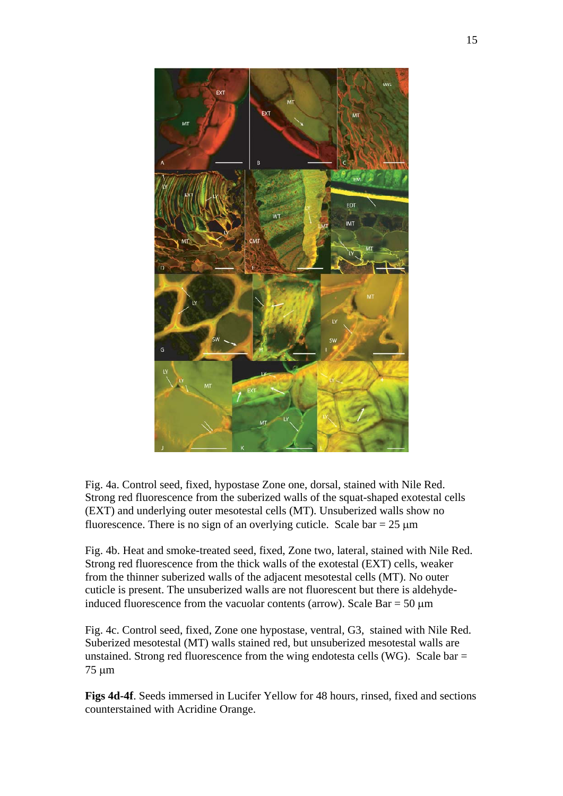

Fig. 4a. Control seed, fixed, hypostase Zone one, dorsal, stained with Nile Red. Strong red fluorescence from the suberized walls of the squat-shaped exotestal cells (EXT) and underlying outer mesotestal cells (MT). Unsuberized walls show no fluorescence. There is no sign of an overlying cuticle. Scale bar =  $25 \mu m$ 

Fig. 4b. Heat and smoke-treated seed, fixed, Zone two, lateral, stained with Nile Red. Strong red fluorescence from the thick walls of the exotestal (EXT) cells, weaker from the thinner suberized walls of the adjacent mesotestal cells (MT). No outer cuticle is present. The unsuberized walls are not fluorescent but there is aldehydeinduced fluorescence from the vacuolar contents (arrow). Scale  $Bar = 50 \mu m$ 

Fig. 4c. Control seed, fixed, Zone one hypostase, ventral, G3, stained with Nile Red. Suberized mesotestal (MT) walls stained red, but unsuberized mesotestal walls are unstained. Strong red fluorescence from the wing endotesta cells (WG). Scale bar  $=$ 75 μm

**Figs 4d-4f**. Seeds immersed in Lucifer Yellow for 48 hours, rinsed, fixed and sections counterstained with Acridine Orange.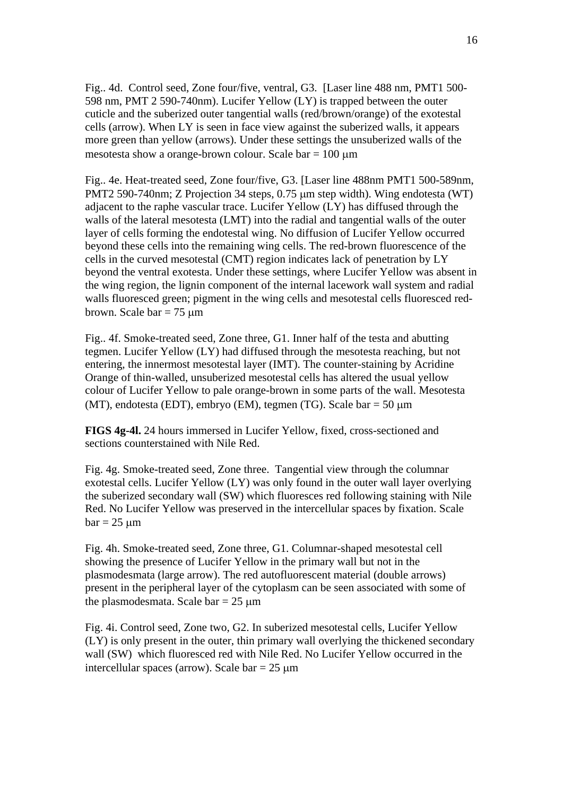Fig.. 4d. Control seed, Zone four/five, ventral, G3. [Laser line 488 nm, PMT1 500- 598 nm, PMT 2 590-740nm). Lucifer Yellow (LY) is trapped between the outer cuticle and the suberized outer tangential walls (red/brown/orange) of the exotestal cells (arrow). When LY is seen in face view against the suberized walls, it appears more green than yellow (arrows). Under these settings the unsuberized walls of the mesotesta show a orange-brown colour. Scale bar = 100 μm

Fig.. 4e. Heat-treated seed, Zone four/five, G3. [Laser line 488nm PMT1 500-589nm, PMT2 590-740nm; Z Projection 34 steps, 0.75 μm step width). Wing endotesta (WT) adjacent to the raphe vascular trace. Lucifer Yellow (LY) has diffused through the walls of the lateral mesotesta (LMT) into the radial and tangential walls of the outer layer of cells forming the endotestal wing. No diffusion of Lucifer Yellow occurred beyond these cells into the remaining wing cells. The red-brown fluorescence of the cells in the curved mesotestal (CMT) region indicates lack of penetration by LY beyond the ventral exotesta. Under these settings, where Lucifer Yellow was absent in the wing region, the lignin component of the internal lacework wall system and radial walls fluoresced green; pigment in the wing cells and mesotestal cells fluoresced redbrown. Scale bar  $= 75 \mu m$ 

Fig.. 4f. Smoke-treated seed, Zone three, G1. Inner half of the testa and abutting tegmen. Lucifer Yellow (LY) had diffused through the mesotesta reaching, but not entering, the innermost mesotestal layer (IMT). The counter-staining by Acridine Orange of thin-walled, unsuberized mesotestal cells has altered the usual yellow colour of Lucifer Yellow to pale orange-brown in some parts of the wall. Mesotesta (MT), endotesta (EDT), embryo (EM), tegmen (TG). Scale bar = 50 μm

**FIGS 4g-4l.** 24 hours immersed in Lucifer Yellow, fixed, cross-sectioned and sections counterstained with Nile Red.

Fig. 4g. Smoke-treated seed, Zone three. Tangential view through the columnar exotestal cells. Lucifer Yellow (LY) was only found in the outer wall layer overlying the suberized secondary wall (SW) which fluoresces red following staining with Nile Red. No Lucifer Yellow was preserved in the intercellular spaces by fixation. Scale  $bar = 25 \text{ µm}$ 

Fig. 4h. Smoke-treated seed, Zone three, G1. Columnar-shaped mesotestal cell showing the presence of Lucifer Yellow in the primary wall but not in the plasmodesmata (large arrow). The red autofluorescent material (double arrows) present in the peripheral layer of the cytoplasm can be seen associated with some of the plasmodesmata. Scale bar =  $25 \mu m$ 

Fig. 4i. Control seed, Zone two, G2. In suberized mesotestal cells, Lucifer Yellow (LY) is only present in the outer, thin primary wall overlying the thickened secondary wall (SW) which fluoresced red with Nile Red. No Lucifer Yellow occurred in the intercellular spaces (arrow). Scale bar  $= 25 \text{ µm}$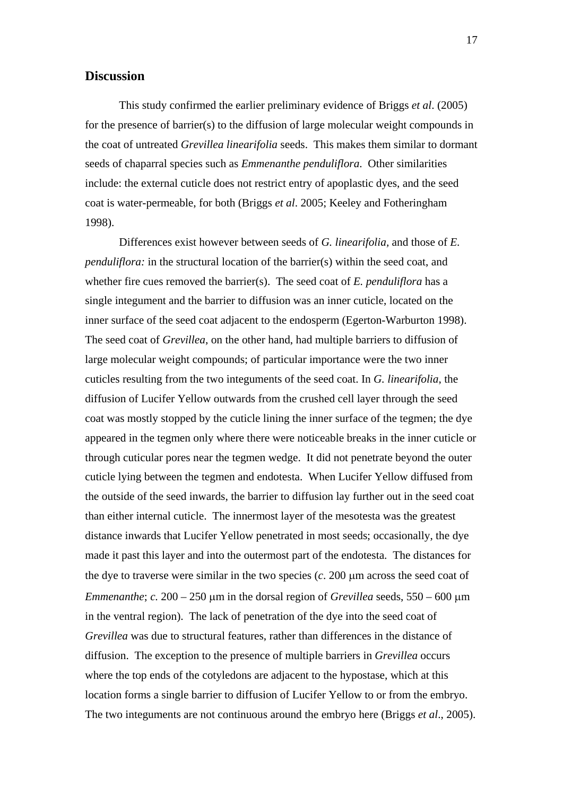# **Discussion**

This study confirmed the earlier preliminary evidence of Briggs *et al*. (2005) for the presence of barrier(s) to the diffusion of large molecular weight compounds in the coat of untreated *Grevillea linearifolia* seeds. This makes them similar to dormant seeds of chaparral species such as *Emmenanthe penduliflora*. Other similarities include: the external cuticle does not restrict entry of apoplastic dyes, and the seed coat is water-permeable, for both (Briggs *et al*. 2005; Keeley and Fotheringham 1998).

Differences exist however between seeds of *G. linearifolia,* and those of *E. penduliflora:* in the structural location of the barrier(s) within the seed coat, and whether fire cues removed the barrier(s). The seed coat of *E. penduliflora* has a single integument and the barrier to diffusion was an inner cuticle, located on the inner surface of the seed coat adjacent to the endosperm (Egerton-Warburton 1998). The seed coat of *Grevillea*, on the other hand, had multiple barriers to diffusion of large molecular weight compounds; of particular importance were the two inner cuticles resulting from the two integuments of the seed coat. In *G. linearifolia*, the diffusion of Lucifer Yellow outwards from the crushed cell layer through the seed coat was mostly stopped by the cuticle lining the inner surface of the tegmen; the dye appeared in the tegmen only where there were noticeable breaks in the inner cuticle or through cuticular pores near the tegmen wedge. It did not penetrate beyond the outer cuticle lying between the tegmen and endotesta. When Lucifer Yellow diffused from the outside of the seed inwards, the barrier to diffusion lay further out in the seed coat than either internal cuticle. The innermost layer of the mesotesta was the greatest distance inwards that Lucifer Yellow penetrated in most seeds; occasionally, the dye made it past this layer and into the outermost part of the endotesta. The distances for the dye to traverse were similar in the two species (*c*. 200 μm across the seed coat of *Emmenanthe*; *c.* 200 – 250 μm in the dorsal region of *Grevillea* seeds, 550 – 600 μm in the ventral region). The lack of penetration of the dye into the seed coat of *Grevillea* was due to structural features, rather than differences in the distance of diffusion. The exception to the presence of multiple barriers in *Grevillea* occurs where the top ends of the cotyledons are adjacent to the hypostase, which at this location forms a single barrier to diffusion of Lucifer Yellow to or from the embryo. The two integuments are not continuous around the embryo here (Briggs *et al*., 2005).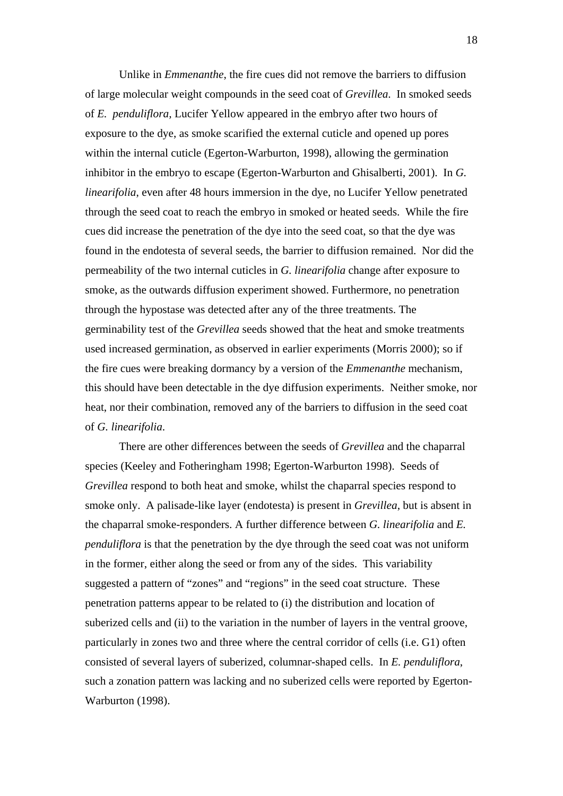Unlike in *Emmenanthe*, the fire cues did not remove the barriers to diffusion of large molecular weight compounds in the seed coat of *Grevillea*. In smoked seeds of *E. penduliflora,* Lucifer Yellow appeared in the embryo after two hours of exposure to the dye, as smoke scarified the external cuticle and opened up pores within the internal cuticle (Egerton-Warburton, 1998), allowing the germination inhibitor in the embryo to escape (Egerton-Warburton and Ghisalberti, 2001). In *G. linearifolia*, even after 48 hours immersion in the dye, no Lucifer Yellow penetrated through the seed coat to reach the embryo in smoked or heated seeds. While the fire cues did increase the penetration of the dye into the seed coat, so that the dye was found in the endotesta of several seeds, the barrier to diffusion remained. Nor did the permeability of the two internal cuticles in *G. linearifolia* change after exposure to smoke, as the outwards diffusion experiment showed. Furthermore, no penetration through the hypostase was detected after any of the three treatments. The germinability test of the *Grevillea* seeds showed that the heat and smoke treatments used increased germination, as observed in earlier experiments (Morris 2000); so if the fire cues were breaking dormancy by a version of the *Emmenanthe* mechanism, this should have been detectable in the dye diffusion experiments. Neither smoke, nor heat, nor their combination, removed any of the barriers to diffusion in the seed coat of *G. linearifolia*.

 There are other differences between the seeds of *Grevillea* and the chaparral species (Keeley and Fotheringham 1998; Egerton-Warburton 1998). Seeds of *Grevillea* respond to both heat and smoke, whilst the chaparral species respond to smoke only. A palisade-like layer (endotesta) is present in *Grevillea*, but is absent in the chaparral smoke-responders. A further difference between *G. linearifolia* and *E. penduliflora* is that the penetration by the dye through the seed coat was not uniform in the former, either along the seed or from any of the sides. This variability suggested a pattern of "zones" and "regions" in the seed coat structure. These penetration patterns appear to be related to (i) the distribution and location of suberized cells and (ii) to the variation in the number of layers in the ventral groove, particularly in zones two and three where the central corridor of cells (i.e. G1) often consisted of several layers of suberized, columnar-shaped cells. In *E. penduliflora*, such a zonation pattern was lacking and no suberized cells were reported by Egerton-Warburton (1998).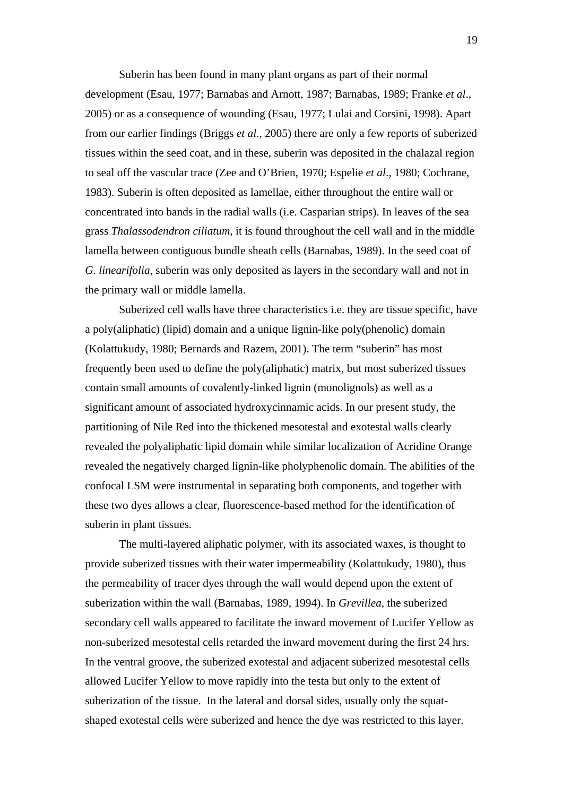Suberin has been found in many plant organs as part of their normal development (Esau, 1977; Barnabas and Arnott, 1987; Barnabas, 1989; Franke *et al*., 2005) or as a consequence of wounding (Esau, 1977; Lulai and Corsini, 1998). Apart from our earlier findings (Briggs *et al.*, 2005) there are only a few reports of suberized tissues within the seed coat, and in these, suberin was deposited in the chalazal region to seal off the vascular trace (Zee and O'Brien, 1970; Espelie *et al*., 1980; Cochrane, 1983). Suberin is often deposited as lamellae, either throughout the entire wall or concentrated into bands in the radial walls (i.e. Casparian strips). In leaves of the sea grass *Thalassodendron ciliatum,* it is found throughout the cell wall and in the middle lamella between contiguous bundle sheath cells (Barnabas, 1989). In the seed coat of *G. linearifolia*, suberin was only deposited as layers in the secondary wall and not in the primary wall or middle lamella.

Suberized cell walls have three characteristics i.e. they are tissue specific, have a poly(aliphatic) (lipid) domain and a unique lignin-like poly(phenolic) domain (Kolattukudy, 1980; Bernards and Razem, 2001). The term "suberin" has most frequently been used to define the poly(aliphatic) matrix, but most suberized tissues contain small amounts of covalently-linked lignin (monolignols) as well as a significant amount of associated hydroxycinnamic acids. In our present study, the partitioning of Nile Red into the thickened mesotestal and exotestal walls clearly revealed the polyaliphatic lipid domain while similar localization of Acridine Orange revealed the negatively charged lignin-like pholyphenolic domain. The abilities of the confocal LSM were instrumental in separating both components, and together with these two dyes allows a clear, fluorescence-based method for the identification of suberin in plant tissues.

The multi-layered aliphatic polymer, with its associated waxes, is thought to provide suberized tissues with their water impermeability (Kolattukudy, 1980), thus the permeability of tracer dyes through the wall would depend upon the extent of suberization within the wall (Barnabas, 1989, 1994). In *Grevillea*, the suberized secondary cell walls appeared to facilitate the inward movement of Lucifer Yellow as non-suberized mesotestal cells retarded the inward movement during the first 24 hrs. In the ventral groove, the suberized exotestal and adjacent suberized mesotestal cells allowed Lucifer Yellow to move rapidly into the testa but only to the extent of suberization of the tissue. In the lateral and dorsal sides, usually only the squatshaped exotestal cells were suberized and hence the dye was restricted to this layer.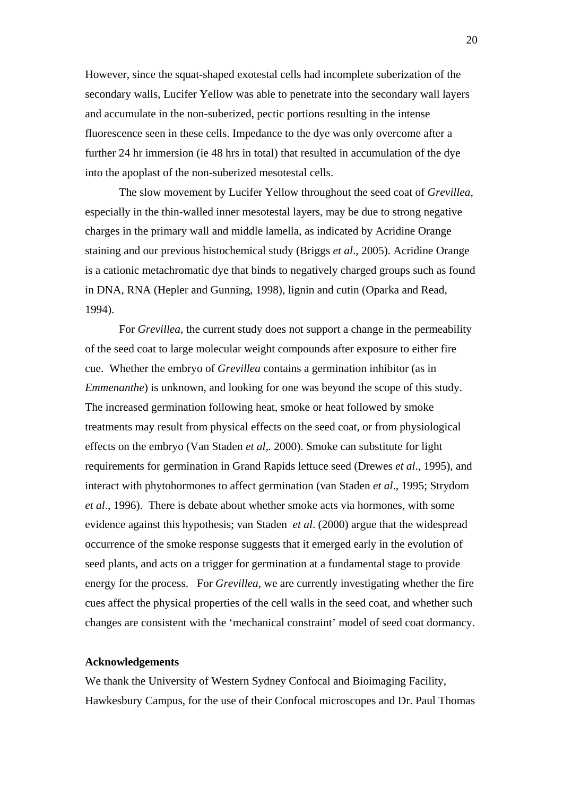However, since the squat-shaped exotestal cells had incomplete suberization of the secondary walls, Lucifer Yellow was able to penetrate into the secondary wall layers and accumulate in the non-suberized, pectic portions resulting in the intense fluorescence seen in these cells. Impedance to the dye was only overcome after a further 24 hr immersion (ie 48 hrs in total) that resulted in accumulation of the dye into the apoplast of the non-suberized mesotestal cells.

The slow movement by Lucifer Yellow throughout the seed coat of *Grevillea*, especially in the thin-walled inner mesotestal layers, may be due to strong negative charges in the primary wall and middle lamella, as indicated by Acridine Orange staining and our previous histochemical study (Briggs *et al*., 2005). Acridine Orange is a cationic metachromatic dye that binds to negatively charged groups such as found in DNA, RNA (Hepler and Gunning, 1998), lignin and cutin (Oparka and Read, 1994).

For *Grevillea*, the current study does not support a change in the permeability of the seed coat to large molecular weight compounds after exposure to either fire cue. Whether the embryo of *Grevillea* contains a germination inhibitor (as in *Emmenanthe*) is unknown, and looking for one was beyond the scope of this study. The increased germination following heat, smoke or heat followed by smoke treatments may result from physical effects on the seed coat, or from physiological effects on the embryo (Van Staden *et al,.* 2000). Smoke can substitute for light requirements for germination in Grand Rapids lettuce seed (Drewes *et al*., 1995), and interact with phytohormones to affect germination (van Staden *et al*., 1995; Strydom *et al*., 1996). There is debate about whether smoke acts via hormones, with some evidence against this hypothesis; van Staden *et al*. (2000) argue that the widespread occurrence of the smoke response suggests that it emerged early in the evolution of seed plants, and acts on a trigger for germination at a fundamental stage to provide energy for the process. For *Grevillea*, we are currently investigating whether the fire cues affect the physical properties of the cell walls in the seed coat, and whether such changes are consistent with the 'mechanical constraint' model of seed coat dormancy.

# **Acknowledgements**

We thank the University of Western Sydney Confocal and Bioimaging Facility, Hawkesbury Campus, for the use of their Confocal microscopes and Dr. Paul Thomas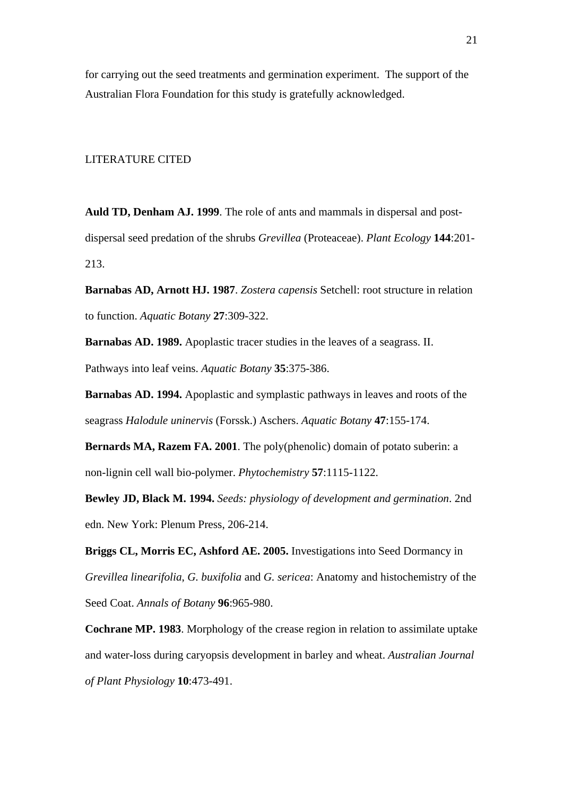for carrying out the seed treatments and germination experiment. The support of the Australian Flora Foundation for this study is gratefully acknowledged.

#### LITERATURE CITED

**Auld TD, Denham AJ. 1999**. The role of ants and mammals in dispersal and postdispersal seed predation of the shrubs *Grevillea* (Proteaceae). *Plant Ecology* **144**:201- 213.

**Barnabas AD, Arnott HJ. 1987**. *Zostera capensis* Setchell: root structure in relation to function. *Aquatic Botany* **27**:309-322.

**Barnabas AD. 1989.** Apoplastic tracer studies in the leaves of a seagrass. II. Pathways into leaf veins. *Aquatic Botany* **35**:375-386.

**Barnabas AD. 1994.** Apoplastic and symplastic pathways in leaves and roots of the seagrass *Halodule uninervis* (Forssk.) Aschers. *Aquatic Botany* **47**:155-174.

**Bernards MA, Razem FA. 2001**. The poly(phenolic) domain of potato suberin: a non-lignin cell wall bio-polymer. *Phytochemistry* **57**:1115-1122.

**Bewley JD, Black M. 1994.** *Seeds: physiology of development and germination*. 2nd edn. New York: Plenum Press, 206-214.

**Briggs CL, Morris EC, Ashford AE. 2005.** Investigations into Seed Dormancy in *Grevillea linearifolia*, *G. buxifolia* and *G. sericea*: Anatomy and histochemistry of the Seed Coat. *Annals of Botany* **96**:965-980.

**Cochrane MP. 1983**. Morphology of the crease region in relation to assimilate uptake and water-loss during caryopsis development in barley and wheat. *Australian Journal of Plant Physiology* **10**:473-491.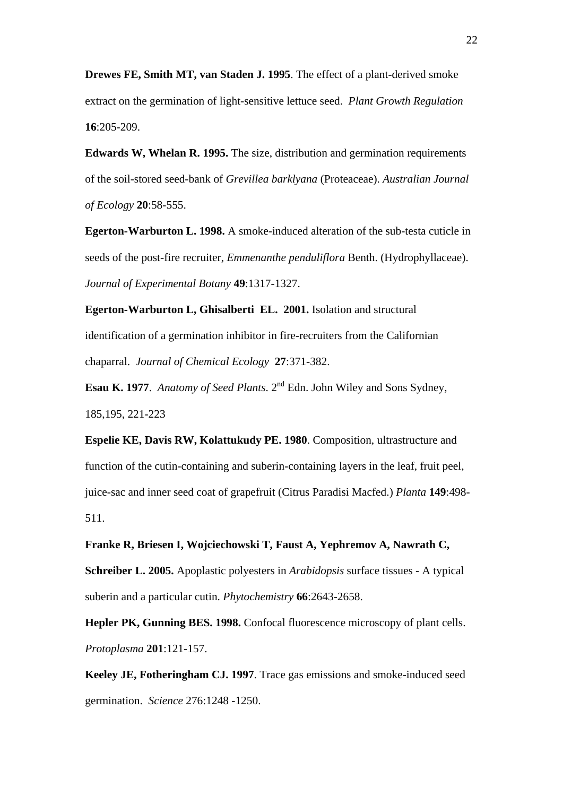**Drewes FE, Smith MT, van Staden J. 1995**. The effect of a plant-derived smoke extract on the germination of light-sensitive lettuce seed. *Plant Growth Regulation* **16**:205-209.

**Edwards W, Whelan R. 1995.** The size, distribution and germination requirements of the soil-stored seed-bank of *Grevillea barklyana* (Proteaceae). *Australian Journal of Ecology* **20**:58-555.

**Egerton-Warburton L. 1998.** A smoke-induced alteration of the sub-testa cuticle in seeds of the post-fire recruiter, *Emmenanthe penduliflora* Benth. (Hydrophyllaceae). *Journal of Experimental Botany* **49**:1317-1327.

**Egerton-Warburton L, Ghisalberti EL. 2001.** Isolation and structural identification of a germination inhibitor in fire-recruiters from the Californian chaparral. *Journal of Chemical Ecology* **27**:371-382.

**Esau K. 1977**. *Anatomy of Seed Plants*. 2<sup>nd</sup> Edn. John Wiley and Sons Sydney, 185,195, 221-223

**Espelie KE, Davis RW, Kolattukudy PE. 1980**. Composition, ultrastructure and function of the cutin-containing and suberin-containing layers in the leaf, fruit peel, juice-sac and inner seed coat of grapefruit (Citrus Paradisi Macfed.) *Planta* **149**:498- 511.

**Franke R, Briesen I, Wojciechowski T, Faust A, Yephremov A, Nawrath C,** 

**Schreiber L. 2005.** Apoplastic polyesters in *Arabidopsis* surface tissues - A typical suberin and a particular cutin. *Phytochemistry* **66**:2643-2658.

**Hepler PK, Gunning BES. 1998.** Confocal fluorescence microscopy of plant cells. *Protoplasma* **201**:121-157.

**Keeley JE, Fotheringham CJ. 1997**. Trace gas emissions and smoke-induced seed germination. *Science* 276:1248 -1250.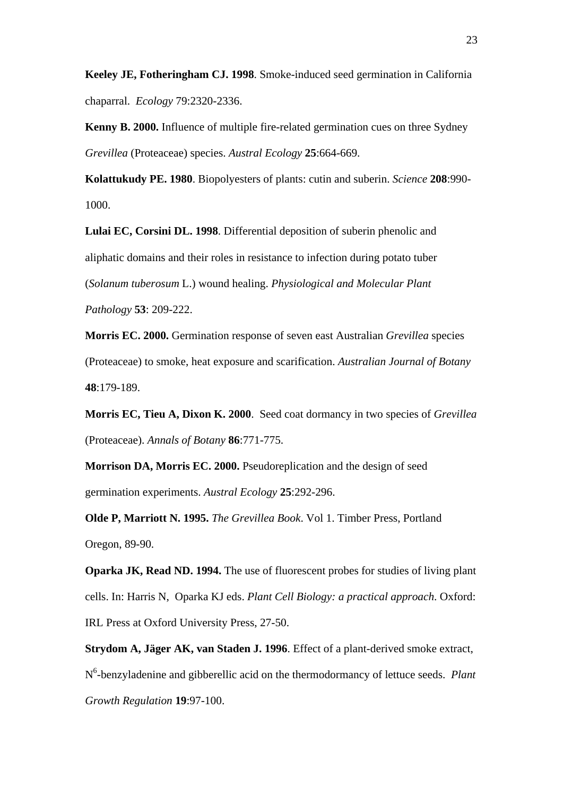**Keeley JE, Fotheringham CJ. 1998**. Smoke-induced seed germination in California chaparral. *Ecology* 79:2320-2336.

**Kenny B. 2000.** Influence of multiple fire-related germination cues on three Sydney *Grevillea* (Proteaceae) species. *Austral Ecology* **25**:664-669.

**Kolattukudy PE. 1980**. Biopolyesters of plants: cutin and suberin. *Science* **208**:990- 1000.

**Lulai EC, Corsini DL. 1998**. Differential deposition of suberin phenolic and aliphatic domains and their roles in resistance to infection during potato tuber (*Solanum tuberosum* L.) wound healing. *Physiological and Molecular Plant Pathology* **53**: 209-222.

**Morris EC. 2000.** Germination response of seven east Australian *Grevillea* species (Proteaceae) to smoke, heat exposure and scarification. *Australian Journal of Botany* **48**:179-189.

**Morris EC, Tieu A, Dixon K. 2000**. Seed coat dormancy in two species of *Grevillea* (Proteaceae). *Annals of Botany* **86**:771-775.

**Morrison DA, Morris EC. 2000.** Pseudoreplication and the design of seed germination experiments. *Austral Ecology* **25**:292-296.

**Olde P, Marriott N. 1995.** *The Grevillea Book*. Vol 1. Timber Press, Portland Oregon, 89-90.

**Oparka JK, Read ND. 1994.** The use of fluorescent probes for studies of living plant cells. In: Harris N, Oparka KJ eds. *Plant Cell Biology: a practical approach*. Oxford: IRL Press at Oxford University Press, 27-50.

**Strydom A, Jäger AK, van Staden J. 1996**. Effect of a plant-derived smoke extract, N<sup>6</sup>-benzyladenine and gibberellic acid on the thermodormancy of lettuce seeds. *Plant Growth Regulation* **19**:97-100.